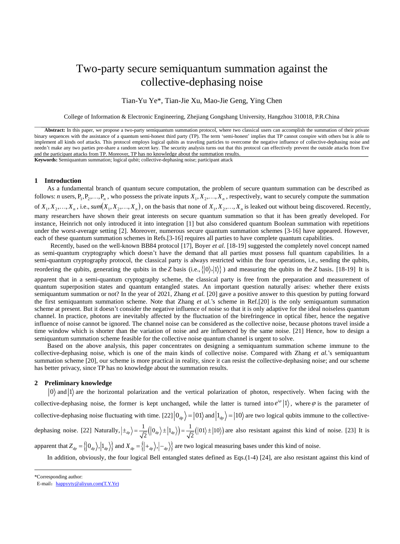# Two-party secure semiquantum summation against the collective-dephasing noise

Tian-Yu Ye\*, Tian-Jie Xu, Mao-Jie Geng, Ying Chen

College of Information & Electronic Engineering, Zhejiang Gongshang University, Hangzhou 310018, P.R.China

**Abstract:** In this paper, we propose a two-party semiquantum summation protocol, where two classical users can accomplish the summation of their private binary sequences with the assistance of a quantum semi-honest third party (TP). The term 'semi-honest' implies that TP cannot conspire with others but is able to implement all kinds oof attacks. This protocol employs logical qubits as traveling particles to overcome the negative influence of collective-dephasing noise and needn't make any two parties pre-share a random secret key. The security analysis turns out that this protocol can effectively prevent the outside attacks from Eve and the participant attacks from TP. Moreover, TP has no knowledge about the summation results.

**Keywords:** Semiquantum summation; logical qubit; collective-dephasing noise; participant attack

# **1 Introduction**

As a fundamental branch of quantum secure computation, the problem of secure quantum summation can be described as follows: *n* users,  $P_1, P_2, \ldots, P_n$ , who possess the private inputs  $X_1, X_2, \ldots, X_n$ , respectively, want to securely compute the summation of  $X_1, X_2, ..., X_n$ , i.e., sum $(X_1, X_2, ..., X_n)$ , on the basis that none of  $X_1, X_2, ..., X_n$  is leaked out without being discovered. Recently, many researchers have shown their great interests on secure quantum summation so that it has been greatly developed. For instance, Heinrich not only introduced it into integration [1] but also considered quantum Boolean summation with repetitions under the worst-average setting [2]. Moreover, numerous secure quantum summation schemes [3-16] have appeared. However, each of these quantum summation schemes in Refs.[3-16] requires all parties to have complete quantum capabilities.

Recently, based on the well-known BB84 protocol [17], Boyer *et al.* [18-19] suggested the completely novel concept named as semi-quantum cryptography which doesn't have the demand that all parties must possess full quantum capabilities. In a semi-quantum cryptography protocol, the classical party is always restricted within the four operations, i.e., sending the qubits, reordering the qubits, generating the qubits in the *Z* basis (i.e.,  $\{|0\rangle, |1\rangle\}$ ) and measuring the qubits in the *Z* basis. [18-19] It is

apparent that in a semi-quantum cryptography scheme, the classical party is free from the preparation and measurement of quantum superposition states and quantum entangled states. An important question naturally arises: whether there exists semiquantum summation or not? In the year of 2021, Zhang *et al.* [20] gave a positive answer to this question by putting forward the first semiquantum summation scheme. Note that Zhang *et al.*'s scheme in Ref.[20] is the only semiquantum summation scheme at present. But it doesn't consider the negative influence of noise so that it is only adaptive for the ideal noiseless quantum channel. In practice, photons are inevitably affected by the fluctuation of the birefringence in optical fiber, hence the negative influence of noise cannot be ignored. The channel noise can be considered as the collective noise, because photons travel inside a time window which is shorter than the variation of noise and are influenced by the same noise. [21] Hence, how to design a semiquantum summation scheme feasible for the collective noise quantum channel is urgent to solve.

Based on the above analysis, this paper concentrates on designing a semiquantum summation scheme immune to the collective-dephasing noise, which is one of the main kinds of collective noise. Compared with Zhang *et al.*'s semiquantum summation scheme [20], our scheme is more practical in reality, since it can resist the collective-dephasing noise; and our scheme has better privacy, since TP has no knowledge about the summation results.

## **2 Preliminary knowledge**

 $0$  and  $|1\rangle$  are the horizontal polarization and the vertical polarization of photon, respectively. When facing with the collective-dephasing noise, the former is kept unchanged, while the latter is turned into  $e^{i\varphi} |1\rangle$ , where  $\varphi$  is the parameter of collective-dephasing noise fluctuating with time. [22]  $\ket{0_{dp}} = \ket{01}$  and  $\ket{1_{dp}} = \ket{10}$  are two logical qubits immune to the collectivedephasing noise. [22] Naturally,  $\ket{\pm_{dp}} = \frac{1}{\sqrt{2}} (\ket{0_{dp}} \pm \ket{1_{dp}}) = \frac{1}{\sqrt{2}} (\ket{01} \pm \ket{10})$  are also resistant against this kind of noise. [23] It is apparent that  $Z_{dp} = \left\{ \left| 0_{dp} \right\rangle, \left| 1_{dp} \right\rangle \right\}$  and  $X_{dp} = \left\{ \left| +_{dp} \right\rangle, \left| -_{dp} \right\rangle \right\}$  are two logical measuring bases under this kind of noise.

In addition, obviously, the four logical Bell entangled states defined as Eqs.(1-4) [24], are also resistant against this kind of

<sup>\*</sup>Corresponding author:

E-mail: [happyyty@aliyun.com\(T.Y.Ye\)](mailto:happyyty@aliyun.com(T.Y.Ye))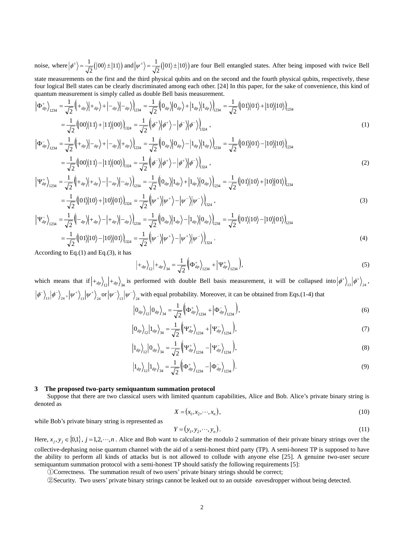noise, where  $|\phi^{\pm}\rangle = \frac{1}{\sqrt{2}}(|00\rangle \pm |11\rangle)$  and  $|\psi^{\pm}\rangle = \frac{1}{\sqrt{2}}(|01\rangle \pm |10\rangle)$  are four Bell entangled states. After being imposed with twice Bell

state measurements on the first and the third physical qubits and on the second and the fourth physical qubits, respectively, these four logical Bell states can be clearly discriminated among each other. [24] In this paper, for the sake of convenience, this kind of quantum measurement is simply called as double Bell basis measurement.

$$
\Phi_{dp}^{+}\rangle_{1234} = \frac{1}{\sqrt{2}} \left( \left| +_{dp} \right| + \left| -_{dp} \right| - \left| -_{dp} \right| \right)_{1234} = \frac{1}{\sqrt{2}} \left( \left| 0_{dp} \right| \left| 0_{dp} \right| + \left| 1_{dp} \right| \left| 1_{dp} \right| \right)_{1234} = \frac{1}{\sqrt{2}} \left( \left| 01 \right| \left| 01 \right| + \left| 10 \right| \left| 10 \right| \right)_{1234} = \frac{1}{\sqrt{2}} \left( \left| 00 \right| \left| 11 \right| + \left| 11 \right| \left| 00 \right| \right)_{1324} = \frac{1}{\sqrt{2}} \left( \left| \phi^{+} \right| \left| \phi^{+} \right| - \left| \phi^{-} \right| \left| \phi^{-} \right| \right)_{1324}, \tag{1}
$$

$$
\left| \Phi_{dp}^{-} \right\rangle_{1234} = \frac{1}{\sqrt{2}} \left( \left| +_{dp} \right| -_{dp} \right) + \left| -_{dp} \right| +_{dp} \right\rangle_{1234} = \frac{1}{\sqrt{2}} \left( \left| 0_{dp} \right| \left| 0_{dp} \right\rangle - \left| 1_{dp} \right| \left| 1_{dp} \right\rangle \right)_{1234} = \frac{1}{\sqrt{2}} \left( \left| 01 \right| \left| 01 \right\rangle - \left| 10 \right| \left| 10 \right\rangle \right)_{1234} = \frac{1}{\sqrt{2}} \left( \left| 00 \right| \left| 11 \right\rangle - \left| 11 \right| \left| 00 \right\rangle \right)_{1324} = \frac{1}{\sqrt{2}} \left( \left| \phi^{-} \right| \left| \phi^{+} \right\rangle - \left| \phi^{+} \right| \left| \phi^{-} \right\rangle \right)_{1324}, \tag{2}
$$

$$
\left| \Psi_{dp}^{+} \right\rangle_{1234} = \frac{1}{\sqrt{2}} \left( \psi_{dp} \right) \left| +_{dp} \right\rangle - \left| -_{dp} \right\rangle_{1234} = \frac{1}{\sqrt{2}} \left( \psi_{dp} \right) \left| 1_{dp} \right\rangle + \left| 1_{dp} \right\rangle_{024} = \frac{1}{\sqrt{2}} \left( \psi_{1} \right) \left| 10 \right\rangle + \left| 10 \right\rangle_{01} \right) \Big|_{1234} = \frac{1}{\sqrt{2}} \left( \psi_{1} \right) \left| 10 \right\rangle + \left| 10 \right\rangle_{01} \Big|_{1234} = \frac{1}{\sqrt{2}} \left( \psi_{1} \right) \left| \psi_{1}^{+} \right\rangle - \left| \psi_{1}^{-} \right\rangle_{024}, \tag{3}
$$

$$
\left| \Psi_{dp}^{-} \right\rangle_{1234} = \frac{1}{\sqrt{2}} \left( \left| -_{dp} \right| \right| +_{dp} \left| - \left| +_{dp} \right| \right| -_{dp} \left| \right\rangle_{1234} = \frac{1}{\sqrt{2}} \left( \left| 0_{dp} \right| \left| 1_{dp} \right| - \left| 1_{dp} \right| \left| 0_{dp} \right| \right) \right)_{1234} = \frac{1}{\sqrt{2}} \left( \left| 01 \right| \left| 10 \right| - \left| 10 \right| \left| 01 \right| \right)_{1234} = \frac{1}{\sqrt{2}} \left( \left| 01 \right| \left| 10 \right| - \left| 10 \right| \left| 01 \right| \right)_{1324} = \frac{1}{\sqrt{2}} \left( \left| \Psi^{-} \right| \left| \Psi^{+} \right| - \left| \Psi^{+} \right| \left| \Psi^{-} \right| \right)_{1324}.
$$
\nAccording to Eq.(1) and Eq.(3), it has

\n(4)

According to Eq.(1) and Eq.(3), it has

$$
|+_{dp}\rangle_{12}|+_{dp}\rangle_{34} = \frac{1}{\sqrt{2}} \Big( \Phi_{dp}^+ \Big)_{1234} + \Big| \Psi_{dp}^+ \Big)_{1234} \Big), \tag{5}
$$

which means that if  $\ket{+_{dp}}_{2}$   $\ket{+_{dp}}_{3}$  is performed with double Bell basis measurement, it will be collapsed into  $\ket{\phi^+}_{13}$   $\ket{\phi^+}_{24}$ ,  $\left\langle \phi^{-}\right\rangle_{13} \left| \phi^{-}\right\rangle_{24}, \left\langle \psi^{+}\right\rangle_{13} \left| \psi^{-}\right\rangle_{24} \left| \psi^{-}\right\rangle_{24}$  with equal probability. Moreover, it can be obtained from Eqs.(1-4) that

$$
\left|0_{dp}\right\rangle_{12}\left|0_{dp}\right\rangle_{34} = \frac{1}{\sqrt{2}}\left(\Phi_{dp}^{+}\right)_{1234} + \left|\Phi_{dp}^{-}\right\rangle_{1234}\right),\tag{6}
$$

$$
\left| 0_{dp} \right\rangle_{12} \left| 1_{dp} \right\rangle_{34} = \frac{1}{\sqrt{2}} \left( \Psi_{dp}^{+} \right)_{1234} + \left| \Psi_{dp}^{-} \right\rangle_{1234} , \tag{7}
$$

$$
\left|1_{dp}\right\rangle_{12}\left|0_{dp}\right\rangle_{34} = \frac{1}{\sqrt{2}}\left(\left|\Psi_{dp}^{+}\right\rangle_{1234} - \left|\Psi_{dp}^{-}\right\rangle_{1234}\right),\tag{8}
$$

$$
\left|1_{dp}\right\rangle_{12}\left|1_{dp}\right\rangle_{34} = \frac{1}{\sqrt{2}}\left(\Phi_{dp}^{+}\right)_{1234} - \left|\Phi_{dp}^{-}\right\rangle_{1234}.
$$
 (9)

## **3 The proposed two-party semiquantum summation protocol**

Suppose that there are two classical users with limited quantum capabilities, Alice and Bob. Alice's private binary string is denoted as

$$
X = (x_1, x_2, \cdots, x_n),\tag{10}
$$

while Bob's private binary string is represented as

$$
Y = (y_1, y_2, \cdots, y_n). \tag{11}
$$

Here,  $x_j, y_j \in \{0,1\}$ ,  $j = 1, 2, \dots, n$ . Alice and Bob want to calculate the modulo 2 summation of their private binary strings over the collective-dephasing noise quantum channel with the aid of a semi-honest third party (TP). A semi-honest TP is supposed to have the ability to perform all kinds of attacks but is not allowed to collude with anyone else [25]. A genuine two-user secure semiquantum summation protocol with a semi-honest TP should satisfy the following requirements [5]:

①Correctness. The summation result of two users' private binary strings should be correct;

②Security. Two users' private binary strings cannot be leaked out to an outside eavesdropper without being detected.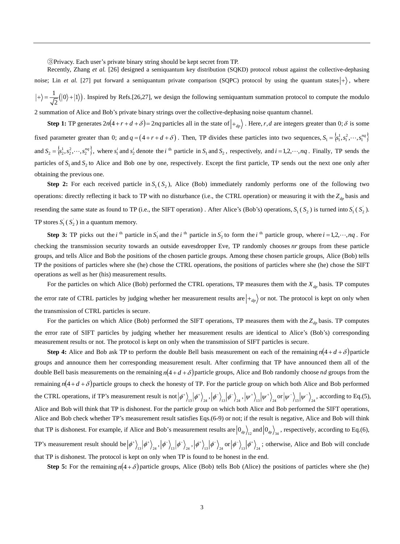③Privacy. Each user's private binary string should be kept secret from TP.

Recently, Zhang *et al.* [26] designed a semiquantum key distribution (SQKD) protocol robust against the collective-dephasing noise; Lin *et al.* [27] put forward a semiquantum private comparison (SQPC) protocol by using the quantum states  $|+\rangle$ , where  $+\rangle = \frac{1}{\sqrt{2}}(|0\rangle + |1\rangle)$ . Inspired by Refs.[26,27], we design the following semiquantum summation protocol to compute the modulo

2 summation of Alice and Bob's private binary strings over the collective-dephasing noise quantum channel.

**Step 1:** TP generates  $2n(4 + r + d + \delta) = 2nq$  particles all in the state of  $\ket{+_{dp}}$ . Here, *r*,*d* are integers greater than 0;  $\delta$  is some fixed parameter greater than 0; and  $q = (4 + r + d + \delta)$ . Then, TP divides these particles into two sequences,  $S_1 = \{s_1^1, s_1^2, \dots, s_1^{nq}\}$ and  $S_2 = \{s_2^1, s_2^2, \dots, s_2^{nq}\}\$ , where  $s_1^i$  and  $s_2^i$  denote the  $i$ <sup>th</sup> particle in  $S_1$  and  $S_2$ , respectively, and  $i = 1, 2, \dots, nq$ . Finally, TP sends the particles of  $S_1$  and  $S_2$  to Alice and Bob one by one, respectively. Except the first particle, TP sends out the next one only after obtaining the previous one.

**Step 2:** For each received particle in  $S_1(S_2)$ , Alice (Bob) immediately randomly performs one of the following two operations: directly reflecting it back to TP with no disturbance (i.e., the CTRL operation) or measuring it with the *<sup>Z</sup>dp* basis and resending the same state as found to TP (i.e., the SIFT operation). After Alice's (Bob's) operations,  $S_1(S_2)$  is turned into  $S_1(S_2)$ . TP stores  $S_1(S_2)$  in a quantum memory.

**Step 3:** TP picks out the *i*<sup>th</sup> particle in  $S_1$  and the *i*<sup>th</sup> particle in  $S_2$  to form the *i*<sup>th</sup> particle group, where *i* =1,2, ..., *nq*. For checking the transmission security towards an outside eavesdropper Eve, TP randomly chooses *nr* groups from these particle groups, and tells Alice and Bob the positions of the chosen particle groups. Among these chosen particle groups, Alice (Bob) tells TP the positions of particles where she (he) chose the CTRL operations, the positions of particles where she (he) chose the SIFT operations as well as her (his) measurement results.

For the particles on which Alice (Bob) performed the CTRL operations, TP measures them with the  $X_{dp}$  basis. TP computes the error rate of CTRL particles by judging whether her measurement results are  $|+_{dp}\rangle$  or not. The protocol is kept on only when the transmission of CTRL particles is secure.

For the particles on which Alice (Bob) performed the SIFT operations, TP measures them with the  $Z_{dp}$  basis. TP computes the error rate of SIFT particles by judging whether her measurement results are identical to Alice's (Bob's) corresponding measurement results or not. The protocol is kept on only when the transmission of SIFT particles is secure.

**Step 4:** Alice and Bob ask TP to perform the double Bell basis measurement on each of the remaining  $n(4 + d + \delta)$  particle groups and announce them her corresponding measurement result. After confirming that TP have announced them all of the double Bell basis measurements on the remaining  $n(4 + d + \delta)$  particle groups, Alice and Bob randomly choose *nd* groups from the remaining  $n(4+d+\delta)$  particle groups to check the honesty of TP. For the particle group on which both Alice and Bob performed the CTRL operations, if TP's measurement result is not  $|\phi^{+}\rangle_{13} |\phi^{-}\rangle_{24}$ ,  $|\phi^{-}\rangle_{13} |\phi^{-}\rangle_{24}$ ,  $|\psi^{+}\rangle_{13} |\psi^{+}\rangle_{24}$  or  $|\psi^{-}\rangle_{13} |\psi^{-}\rangle_{24}$ , according to Eq.(5), Alice and Bob will think that TP is dishonest. For the particle group on which both Alice and Bob performed the SIFT operations, Alice and Bob check whether TP's measurement result satisfies Eqs.(6-9) or not; if the result is negative, Alice and Bob will think that TP is dishonest. For example, if Alice and Bob's measurement results are  $\ket{0_{\phi}}_{12}$  and  $\ket{0_{\phi}}_{34}$ , respectively, according to Eq.(6), TP's measurement result should be  $|\phi^+\rangle_{_{13}}|\phi^-\rangle_{_{24}}$ ,  $|\phi^-\rangle_{_{13}}|\phi^-\rangle_{_{24}}$ ,  $|\phi^+\rangle_{_{13}}|\phi^-\rangle_{_{24}}$  or  $|\phi^-\rangle_{_{13}}|\phi^+\rangle_{_{24}}$ ; otherwise, Alice and Bob will conclude that TP is dishonest. The protocol is kept on only when TP is found to be honest in the end.

**Step 5:** For the remaining  $n(4+\delta)$  particle groups, Alice (Bob) tells Bob (Alice) the positions of particles where she (he)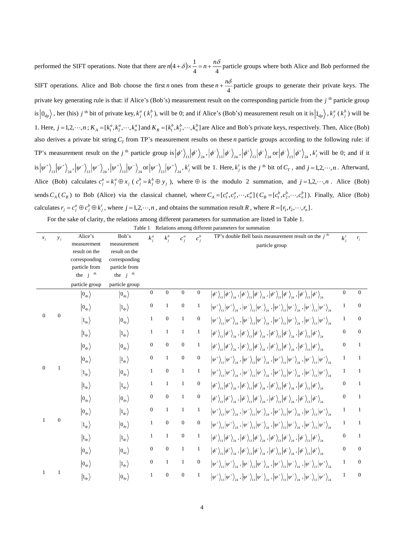performed the SIFT operations. Note that there are  $n(4+\delta) \times \frac{1}{4} = n + \frac{4\delta}{4}$  $n(4+\delta) \times \frac{1}{4} = n + \frac{n\delta}{\delta}$  particle groups where both Alice and Bob performed the SIFT operations. Alice and Bob choose the first *n* ones from these  $n + \frac{4}{4}$  $n + \frac{n\delta}{l}$  particle groups to generate their private keys. The private key generating rule is that: if Alice's (Bob's) measurement result on the corresponding particle from the  $j$ <sup>th</sup> particle group is  $\ket{0_{dp}}$ , her (his) *j*<sup>th</sup> bit of private key,  $k_j^a$  ( $k_j^b$ ), will be 0; and if Alice's (Bob's) measurement result on it is  $\ket{1_{dp}}$ ,  $k_j^a$  ( $k_j^b$ ) will be 1. Here,  $j = 1, 2, \dots, n$ ;  $K_A = [k_1^a, k_2^a, \dots, k_n^a]$  and  $K_B = [k_1^b, k_2^b, \dots, k_n^b]$  are Alice and Bob's private keys, respectively. Then, Alice (Bob) also derives a private bit string  $C<sub>T</sub>$  from TP's measurement results on these *n* particle groups according to the following rule: if TP's measurement result on the *j*<sup>th</sup> particle group is  $|\phi^+\rangle_{13}|\phi^+\rangle_{24}$ ,  $|\phi^-\rangle_{13}|\phi^-\rangle_{24}$ ,  $|\phi^+\rangle_{13}|\phi^-\rangle_{24}$  or  $|\phi^-\rangle_{13}|\phi^+\rangle_{24}$ ,  $k'_j$  will be 0; and if it  $\int \sin \left(\psi^+\right)_{13} \left|\psi^-\right>_{24}, \left|\psi^-\right>_{13} \left|\psi^-\right>_{24}$  or  $\left|\psi^-\right>_{13} \left|\psi^+\right>_{24}, k_j^t$  will be 1. Here,  $k_j^t$  is the *j*<sup>th</sup> bit of  $C_T$ , and  $j = 1, 2, \dots, n$ . Afterward, Alice (Bob) calculates  $c_j^a = k_j^a \oplus x_j$  ( $c_j^b = k_j^b \oplus y_j$ ), where  $\oplus$  is the modulo 2 summation, and  $j = 1, 2, \dots, n$ . Alice (Bob) sends  $C_A$  ( $C_B$ ) to Bob (Alice) via the classical channel, where  $C_A = [c_1^a, c_2^a, \dots, c_n^a]$  ( $C_B = [c_1^b, c_2^b, \dots, c_n^b]$ ). Finally, Alice (Bob) calculates  $r_j = c_j^a \oplus c_j^b \oplus k_j^t$ , where  $j = 1, 2, \dots, n$ , and obtains the summation result R, where  $R = [r_1, r_2, \dots, r_n]$ .

For the sake of clarity, the relations among different parameters for summation are listed in Table 1.

| Relations among different parameters for summation<br>Table 1 |  |
|---------------------------------------------------------------|--|
|---------------------------------------------------------------|--|

| $x_i$    | $y_i$        | Alice's<br>measurement<br>result on the | Bob's<br>measurement<br>result on the | $k_i^a$        | $k_i^b$          | $c_i^a$        | $c_i^b$          | TP's double Bell basis measurement result on the $ith$<br>particle group                                                                                                                                                                                                                                                             | $k_i^t$        | $r_i$          |
|----------|--------------|-----------------------------------------|---------------------------------------|----------------|------------------|----------------|------------------|--------------------------------------------------------------------------------------------------------------------------------------------------------------------------------------------------------------------------------------------------------------------------------------------------------------------------------------|----------------|----------------|
|          |              | corresponding<br>particle from          | corresponding<br>particle from        |                |                  |                |                  |                                                                                                                                                                                                                                                                                                                                      |                |                |
|          |              | the $j$ <sup>th</sup>                   | the $j$ <sup>th</sup>                 |                |                  |                |                  |                                                                                                                                                                                                                                                                                                                                      |                |                |
|          |              | particle group                          | particle group                        |                |                  |                |                  |                                                                                                                                                                                                                                                                                                                                      |                |                |
|          |              | $\ket{0_{dp}}$                          | $\left 0_{_{dp}}\right\rangle$        | $\Omega$       | $\Omega$         | $\overline{0}$ | $\mathbf{0}$     | $\left  \phi^{+} \right\rangle_{13} \left  \phi^{+} \right\rangle_{24} \, , \left  \phi^{-} \right\rangle_{13} \left  \phi^{-} \right\rangle_{24} \, , \left  \phi^{+} \right\rangle_{13} \left  \phi^{-} \right\rangle_{24} \, , \left  \phi^{-} \right\rangle_{13} \left  \phi^{+} \right\rangle_{24} \, ,$                        | $\overline{0}$ | $\Omega$       |
|          |              | $ 0_{dp}\rangle$                        | $\Ket{1_{dp}}$                        | $\mathbf{0}$   | $\mathbf{1}$     | $\mathbf{0}$   | $\mathbf{1}$     | $ \psi^{+}\rangle_{13} \psi^{+}\rangle_{24}$ , $ \psi^{-}\rangle_{13} \psi^{-}\rangle_{24}$ , $ \psi^{+}\rangle_{13} \psi^{-}\rangle_{24}$ , $ \psi^{-}\rangle_{13} \psi^{+}\rangle_{24}$                                                                                                                                            | $\mathbf{1}$   | $\overline{0}$ |
| $\Omega$ | $\Omega$     | $\left 1_{dp}\right\rangle$             | $\left 0_{_{dp}}\right\rangle$        | $\mathbf{1}$   | $\boldsymbol{0}$ | $\mathbf{1}$   | $\boldsymbol{0}$ | $ \psi^{+}\rangle_{13} \psi^{+}\rangle_{24}$ , $ \psi^{-}\rangle_{13} \psi^{-}\rangle_{24}$ , $ \psi^{+}\rangle_{13} \psi^{-}\rangle_{24}$ , $ \psi^{-}\rangle_{13} \psi^{+}\rangle_{24}$                                                                                                                                            | $\mathbf{1}$   | $\overline{0}$ |
|          |              | $\left 1_{dp}\right\rangle$             | $\ket{1_{dp}}$                        | $\mathbf{1}$   | $\mathbf{1}$     | $\mathbf{1}$   | 1                | $ \phi^{+}\rangle_{13} \phi^{+}\rangle_{24}$ , $ \phi^{-}\rangle_{13} \phi^{-}\rangle_{24}$ , $ \phi^{+}\rangle_{13} \phi^{-}\rangle_{24}$ , $ \phi^{-}\rangle_{13} \phi^{+}\rangle_{24}$                                                                                                                                            | $\mathbf{0}$   | $\Omega$       |
|          |              | $\left 0_{_{dp}}\right\rangle$          | $\left 0_{_{dp}}\right\rangle$        | $\mathbf{0}$   | $\overline{0}$   | $\mathbf{0}$   | $\mathbf{1}$     | $ \phi^{+}\rangle_{13} \phi^{+}\rangle_{24}$ , $ \phi^{-}\rangle_{13} \phi^{-}\rangle_{24}$ , $ \phi^{+}\rangle_{13} \phi^{-}\rangle_{24}$ , $ \phi^{-}\rangle_{13} \phi^{+}\rangle_{24}$                                                                                                                                            | $\overline{0}$ | $\mathbf{1}$   |
|          |              | $ 0_{dp}\rangle$                        | $\left 1_{dp}\right\rangle$           | $\overline{0}$ | $\mathbf{1}$     | $\mathbf{0}$   | $\boldsymbol{0}$ | $ \psi^{+}\rangle_{13} \psi^{+}\rangle_{24}$ , $ \psi^{-}\rangle_{13} \psi^{-}\rangle_{24}$ , $ \psi^{+}\rangle_{13} \psi^{-}\rangle_{24}$ , $ \psi^{-}\rangle_{13} \psi^{+}\rangle_{24}$                                                                                                                                            | $\mathbf{1}$   | 1              |
| $\Omega$ | 1            | $\left 1_{dp}\right\rangle$             | $\left 0_{_{dp}}\right\rangle$        | 1              | $\boldsymbol{0}$ | $\mathbf{1}$   | $\mathbf{1}$     | $ \psi^{+}\rangle_{13} \psi^{+}\rangle_{24}$ , $ \psi^{-}\rangle_{13} \psi^{-}\rangle_{24}$ , $ \psi^{+}\rangle_{13} \psi^{-}\rangle_{24}$ , $ \psi^{-}\rangle_{13} \psi^{+}\rangle_{24}$                                                                                                                                            | $\mathbf{1}$   | 1              |
|          |              | $\left 1_{dp}\right\rangle$             | $\left 1_{dp}\right\rangle$           | $\mathbf{1}$   | $\mathbf{1}$     | $\mathbf{1}$   | $\mathbf{0}$     | $ \phi^{+}\rangle_{13} \phi^{+}\rangle_{24}$ , $ \phi^{-}\rangle_{13} \phi^{-}\rangle_{24}$ , $ \phi^{+}\rangle_{13} \phi^{-}\rangle_{24}$ , $ \phi^{-}\rangle_{13} \phi^{+}\rangle_{24}$                                                                                                                                            | $\Omega$       | 1              |
|          |              | $ 0_{dp}\rangle$                        | $\left 0_{_{dp}}\right\rangle$        | $\overline{0}$ | $\boldsymbol{0}$ | $\mathbf{1}$   | $\mathbf{0}$     | $\left  \phi^{+} \right\rangle_{13} \left  \phi^{+} \right\rangle_{24}, \left  \phi^{-} \right\rangle_{13} \left  \phi^{-} \right\rangle_{24}, \left  \phi^{+} \right\rangle_{13} \left  \phi^{-} \right\rangle_{24}, \left  \phi^{-} \right\rangle_{13} \left  \phi^{+} \right\rangle_{24}$                                         | $\mathbf{0}$   | $\mathbf{1}$   |
|          |              | $ 0_{dp}\rangle$                        | $\left 1_{dp}\right\rangle$           | $\mathbf{0}$   | $\mathbf{1}$     | $\mathbf{1}$   | $\mathbf{1}$     | $ \psi^{+}\rangle_{13} \psi^{+}\rangle_{24}$ , $ \psi^{-}\rangle_{13} \psi^{-}\rangle_{24}$ , $ \psi^{+}\rangle_{13} \psi^{-}\rangle_{24}$ , $ \psi^{-}\rangle_{13} \psi^{+}\rangle_{24}$                                                                                                                                            | $\mathbf{1}$   | 1              |
| 1        | $\mathbf{0}$ | $\left 1_{dp}\right\rangle$             | $\left 0_{_{dp}}\right\rangle$        | 1              | $\overline{0}$   | $\theta$       | $\boldsymbol{0}$ | $ \psi^{+}\rangle_{13} \psi^{+}\rangle_{24}$ , $ \psi^{-}\rangle_{13} \psi^{-}\rangle_{24}$ , $ \psi^{+}\rangle_{13} \psi^{-}\rangle_{24}$ , $ \psi^{-}\rangle_{13} \psi^{+}\rangle_{24}$                                                                                                                                            | $\mathbf{1}$   | 1              |
|          |              | $\left 1_{dp}\right\rangle$             | $\left 1_{dp}\right\rangle$           | 1              | $\mathbf{1}$     | $\mathbf{0}$   | $\mathbf{1}$     | $ \phi^{+}\rangle_{13} \phi^{+}\rangle_{24}$ , $ \phi^{-}\rangle_{13} \phi^{-}\rangle_{24}$ , $ \phi^{+}\rangle_{13} \phi^{-}\rangle_{24}$ , $ \phi^{-}\rangle_{13} \phi^{+}\rangle_{24}$                                                                                                                                            | $\mathbf{0}$   | 1              |
|          |              | $\ket{0_{dp}}$                          | $\left 0_{_{dp}}\right\rangle$        | $\mathbf{0}$   | $\boldsymbol{0}$ | $\mathbf{1}$   | $\mathbf{1}$     | $ \phi^{+}\rangle_{13} \phi^{+}\rangle_{24}$ , $ \phi^{-}\rangle_{13} \phi^{-}\rangle_{24}$ , $ \phi^{+}\rangle_{13} \phi^{-}\rangle_{24}$ , $ \phi^{-}\rangle_{13} \phi^{+}\rangle_{24}$                                                                                                                                            | $\mathbf{0}$   | $\Omega$       |
|          |              | $\left 0_{_{dp}}\right\rangle$          | $\ket{1_{dp}}$                        | $\mathbf{0}$   | $\mathbf{1}$     | $\mathbf{1}$   | $\boldsymbol{0}$ | $ \psi^{+}\rangle_{13} \psi^{+}\rangle_{24}$ , $ \psi^{-}\rangle_{13} \psi^{-}\rangle_{24}$ , $ \psi^{+}\rangle_{13} \psi^{-}\rangle_{24}$ , $ \psi^{-}\rangle_{13} \psi^{+}\rangle_{24}$                                                                                                                                            | $\mathbf{1}$   | $\Omega$       |
| 1        | $\mathbf{1}$ | $\left 1_{dp}\right\rangle$             | $\ket{0_{dp}}$                        | $\mathbf{1}$   | $\Omega$         | $\overline{0}$ | $\mathbf{1}$     | $\left  \psi^{+} \right\rangle_{\!13} \! \left  \psi^{+} \right\rangle_{\!24} \, , \left  \psi^{-} \right\rangle_{\!13} \! \left  \psi^{-} \right\rangle_{\!24} \, , \left  \psi^{+} \right\rangle_{\!13} \! \left  \psi^{-} \right\rangle_{\!24} \, , \left  \psi^{-} \right\rangle_{\!13} \! \left  \psi^{+} \right\rangle_{\!24}$ | $\mathbf{1}$   | $\Omega$       |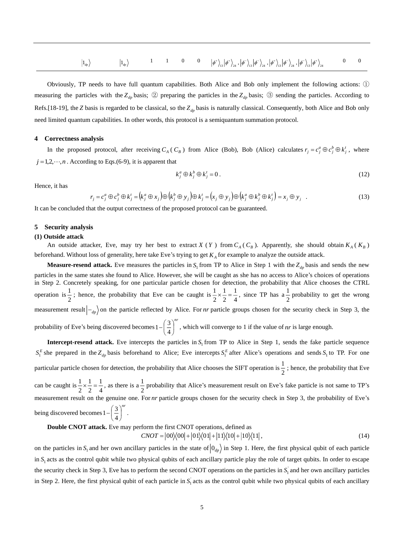$$
\left|1_{d p}\right\rangle \hspace{1.6cm}\left|1_{d p}\right\rangle \hspace{1.4cm}\left|1\right\rangle \hspace{1.4cm}\left|1\right\rangle \hspace{1.4cm}\left|1\right\rangle \hspace{1.4cm}\left|1\right\rangle \hspace{1.4cm}\left|0\right\rangle \hspace{1.4cm}\left|0\right\rangle \hspace{1.4cm}\left|\phi^{+}\right\rangle_{13}\left|\phi^{+}\right\rangle_{24}\hspace{1.4cm},\left|\phi^{-}\right\rangle_{13}\left|\phi^{-}\right\rangle_{24}\hspace{1.4cm},\left|\phi^{+}\right\rangle_{13}\left|\phi^{+}\right\rangle_{24}\hspace{1.4cm}\left|0\right\rangle \hspace{1.4cm}\left|0\right\rangle \hspace{1.4cm}\left|0\right\rangle \hspace{1.4cm}\left|0\right\rangle_{24}\hspace{1.4cm}\left|0\right\rangle_{24}\hspace{1.4cm}\left|0\right\rangle_{24}\hspace{1.4cm}\left|0\right\rangle_{24}\hspace{1.4cm}\left|0\right\rangle_{24}\hspace{1.4cm}\left|0\right\rangle_{24}\hspace{1.4cm}\left|0\right\rangle_{24}\hspace{1.4cm}\left|0\right\rangle_{24}\hspace{1.4cm}\left|0\right\rangle_{24}\hspace{1.4cm}\left|0\right\rangle_{24}\hspace{1.4cm}\left|0\right\rangle_{24}\hspace{1.4cm}\left|0\right\rangle_{24}\hspace{1.4cm}\left|0\right\rangle_{24}\hspace{1.4cm}\left|0\right\rangle_{24}\hspace{1.4cm}\left|0\right\rangle_{24}\hspace{1.4cm}\left|0\right\rangle_{24}\hspace{1.4cm}\left|0\right\rangle_{24}\hspace{1.4cm}\left|0\right\rangle_{24}\hspace{1.4cm}\left|0\right\rangle_{24}\hspace{1.4cm}\left|0\right\rangle_{24}\hspace{1.4cm}\left|0\right\rangle_{24}\hspace{1.4cm}\left|0\right\rangle_{24}\hspace{1.4cm}\left|0\right\rangle_{24}\hspace{1.4cm}\left|0\right\rangle_{24}\hspace{1.4cm}\left|0\right\rangle_{24}\hspace{1.4cm}\
$$

Obviously, TP needs to have full quantum capabilities. Both Alice and Bob only implement the following actions: ① measuring the particles with the  $Z_{dp}$  basis; ② preparing the particles in the  $Z_{dp}$  basis; ③ sending the particles. According to Refs.[18-19], the *Z* basis is regarded to be classical, so the *<sup>Z</sup>dp* basis is naturally classical. Consequently, both Alice and Bob only need limited quantum capabilities. In other words, this protocol is a semiquantum summation protocol.

#### **4 Correctness analysis**

In the proposed protocol, after receiving  $C_A$  ( $C_B$ ) from Alice (Bob), Bob (Alice) calculates  $r_j = c_j^a \oplus c_j^b \oplus k_j^t$ , where  $j = 1, 2, \dots, n$ . According to Eqs.(6-9), it is apparent that

$$
k_j^a \oplus k_j^b \oplus k_j^t = 0 \,. \tag{12}
$$

Hence, it has

$$
r_j = c_j^a \oplus c_j^b \oplus k_j^t = (k_j^a \oplus x_j) \oplus (k_j^b \oplus y_j) \oplus k_j^t = (x_j \oplus y_j) \oplus (k_j^a \oplus k_j^b \oplus k_j^t) = x_j \oplus y_j
$$
 (13)

It can be concluded that the output correctness of the proposed protocol can be guaranteed.

# **5 Security analysis**

#### **(1) Outside attack**

An outside attacker, Eve, may try her best to extract *X* (*Y*) from  $C_A$  ( $C_B$ ). Apparently, she should obtain  $K_A$  ( $K_B$ ) beforehand. Without loss of generality, here take Eve's trying to get *K<sup>A</sup>* for example to analyze the outside attack.

**Measure-resend attack.** Eve measures the particles in  $S_1$  from TP to Alice in Step 1 with the  $Z_{dp}$  basis and sends the new particles in the same states she found to Alice. However, she will be caught as she has no access to Alice's choices of operations in Step 2. Concretely speaking, for one particular particle chosen for detection, the probability that Alice chooses the CTRL operation is  $\frac{1}{2}$  $\frac{1}{2}$ ; hence, the probability that Eve can be caught is  $\frac{1}{2} \times \frac{1}{2} = \frac{1}{4}$ 1 2 1 2  $\frac{1}{2} \times \frac{1}{2} = \frac{1}{4}$ , since TP has  $a\frac{1}{2}$  $\frac{1}{2}$  probability to get the wrong measurement result  $\vert -_{dp}\rangle$  on the particle reflected by Alice. For *nr* particle groups chosen for the security check in Step 3, the probability of Eve's being discovered becomes  $1 - \left(\frac{3}{2}\right)^{nr}$ l J  $\left(\frac{3}{7}\right)$ l  $-\left(\frac{3}{4}\right)$  $1 - \left(\frac{3}{2}\right)^m$ , which will converge to 1 if the value of *nr* is large enough.

**Intercept-resend attack.** Eve intercepts the particles in  $S_1$  from TP to Alice in Step 1, sends the fake particle sequence  $S_1^E$  she prepared in the  $Z_{dp}$  basis beforehand to Alice; Eve intercepts  $S_1^E$  after Alice's operations and sends  $S_1$  to TP. For one particular particle chosen for detection, the probability that Alice chooses the SIFT operation is  $\frac{1}{2}$  $\frac{1}{2}$ ; hence, the probability that Eve can be caught is  $\frac{1}{2} \times \frac{1}{2} = \frac{1}{4}$ 1 2 1 2  $\frac{1}{2} \times \frac{1}{2} = \frac{1}{4}$ , as there is a  $\frac{1}{2}$  $\frac{1}{2}$  probability that Alice's measurement result on Eve's fake particle is not same to TP's measurement result on the genuine one. For *nr* particle groups chosen for the security check in Step 3, the probability of Eve's being discovered becomes  $1 - \left(\frac{3}{7}\right)^{nr}$ I J  $\begin{pmatrix} 3 \\ - \end{pmatrix}$ l  $-\left(\frac{3}{4}\right)$  $1 - \left(\frac{3}{2}\right)^n$ .

**Double CNOT attack.** Eve may perform the first CNOT operations, defined as

$$
CNOT = |00\rangle\langle00| + |01\rangle\langle01| + |11\rangle\langle10| + |10\rangle\langle11|,\tag{14}
$$

on the particles in  $S_1$  and her own ancillary particles in the state of  $|0_{dp}\rangle$  in Step 1. Here, the first physical qubit of each particle in S<sub>1</sub> acts as the control qubit while two physical qubits of each ancillary particle play the role of target qubits. In order to escape the security check in Step 3, Eve has to perform the second CNOT operations on the particles in  $S_1$  and her own ancillary particles in Step 2. Here, the first physical qubit of each particle in  $S_1$  acts as the control qubit while two physical qubits of each ancillary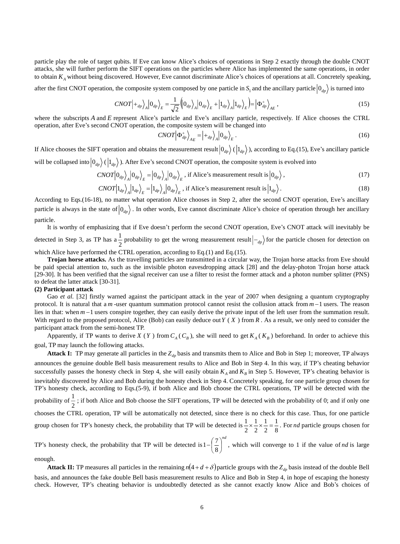particle play the role of target qubits. If Eve can know Alice's choices of operations in Step 2 exactly through the double CNOT attacks, she will further perform the SIFT operations on the particles where Alice has implemented the same operations, in order to obtain *K<sup>A</sup>* without being discovered. However, Eve cannot discriminate Alice's choices of operations at all. Concretely speaking,

after the first CNOT operation, the composite system composed by one particle in  $S_1$  and the ancillary particle  $|0_{dp}\rangle$  is turned into

$$
CNOT \left| +_{dp} \right\rangle_{A} \left| 0_{dp} \right\rangle_{E} = \frac{1}{\sqrt{2}} \left| 0_{dp} \right\rangle_{A} \left| 0_{dp} \right\rangle_{E} + \left| 1_{dp} \right\rangle_{A} \left| 1_{dp} \right\rangle_{E} = \left| \Phi_{dp}^{+} \right\rangle_{AE},
$$
\n(15)

where the subscripts *A* and *E* represent Alice's particle and Eve's ancillary particle, respectively. If Alice chooses the CTRL operation, after Eve's second CNOT operation, the composite system will be changed into

$$
CNOT \left| \Phi_{dp}^* \right\rangle_{AE} = \left| +_{dp} \right\rangle_A \left| 0_{dp} \right\rangle_E.
$$
 (16)

If Alice chooses the SIFT operation and obtains the measurement result  $|0_{dp}\rangle$  ( $|1_{dp}\rangle$ ), according to Eq.(15), Eve's ancillary particle

will be collapsed into  $\ket{0_{dp}}(\ket{1_{dp}})$ . After Eve's second CNOT operation, the composite system is evolved into

$$
CNOT \left| 0_{dp} \right\rangle_A \left| 0_{dp} \right\rangle_E = \left| 0_{dp} \right\rangle_A \left| 0_{dp} \right\rangle_E
$$
, if Alice's measurement result is  $|0_{dp} \rangle$ , (17)

$$
CNOT \left| 1_{dp} \right\rangle_A \left| 1_{dp} \right\rangle_E = \left| 1_{dp} \right\rangle_A \left| 0_{dp} \right\rangle_E
$$
, if Alice's measurement result is  $\left| 1_{dp} \right\rangle$ . (18)

According to Eqs.(16-18), no matter what operation Alice chooses in Step 2, after the second CNOT operation, Eve's ancillary particle is always in the state of  $|0_{dp}\rangle$ . In other words, Eve cannot discriminate Alice's choice of operation through her ancillary particle.

It is worthy of emphasizing that if Eve doesn't perform the second CNOT operation, Eve's CNOT attack will inevitably be detected in Step 3, as TP has  $a\frac{1}{2}$  $\frac{1}{2}$  probability to get the wrong measurement result  $\ket{-_{dp}}$  for the particle chosen for detection on which Alice have performed the CTRL operation, according to Eq.(1) and Eq.(15).

**Trojan horse attacks.** As the travelling particles are transmitted in a circular way, the Trojan horse attacks from Eve should be paid special attention to, such as the invisible photon eavesdropping attack [28] and the delay-photon Trojan horse attack [29-30]. It has been verified that the signal receiver can use a filter to resist the former attack and a photon number splitter (PNS) to defeat the latter attack [30-31].

#### **(2) Participant attack**

Gao *et al.* [32] firstly warned against the participant attack in the year of 2007 when designing a quantum cryptography protocol. It is natural that a *<sup>m</sup>* -user quantum summation protocol cannot resist the collusion attack from *<sup>m</sup>* <sup>−</sup><sup>1</sup> users. The reason lies in that: when *<sup>m</sup>* <sup>−</sup><sup>1</sup> users conspire together, they can easily derive the private input of the left user from the summation result. With regard to the proposed protocol, Alice (Bob) can easily deduce out  $Y(X)$  from  $R$ . As a result, we only need to consider the participant attack from the semi-honest TP.

Apparently, if TP wants to derive  $X(Y)$  from  $C_A(C_B)$ , she will need to get  $K_A(K_B)$  beforehand. In order to achieve this goal, TP may launch the following attacks.

Attack I: TP may generate all particles in the  $Z_{dp}$  basis and transmits them to Alice and Bob in Step 1; moreover, TP always announces the genuine double Bell basis measurement results to Alice and Bob in Step 4. In this way, if TP's cheating behavior successfully passes the honesty check in Step 4, she will easily obtain  $K_A$  and  $K_B$  in Step 5. However, TP's cheating behavior is inevitably discovered by Alice and Bob during the honesty check in Step 4. Concretely speaking, for one particle group chosen for TP's honesty check, according to Eqs.(5-9), if both Alice and Bob choose the CTRL operations, TP will be detected with the probability of  $\frac{1}{2}$  $\frac{1}{2}$ ; if both Alice and Bob choose the SIFT operations, TP will be detected with the probability of 0; and if only one chooses the CTRL operation, TP will be automatically not detected, since there is no check for this case. Thus, for one particle group chosen for TP's honesty check, the probability that TP will be detected is  $\frac{1}{2} \times \frac{1}{2} \times \frac{1}{2} = \frac{1}{8}$ 1 2 1 2 1 2  $\frac{1}{2} \times \frac{1}{2} \times \frac{1}{2} = \frac{1}{2}$ . For *nd* particle groups chosen for *nd*

TP's honesty check, the probability that TP will be detected is I J  $\left(\frac{7}{1}\right)$ l  $-\left(\frac{7}{8}\right)$  $1 - \left(\frac{7}{5}\right)^{n}$ , which will converge to 1 if the value of *nd* is large

enough.

**Attack II:** TP measures all particles in the remaining  $n(4 + d + \delta)$  particle groups with the  $Z_{dp}$  basis instead of the double Bell basis, and announces the fake double Bell basis measurement results to Alice and Bob in Step 4, in hope of escaping the honesty check. However, TP's cheating behavior is undoubtedly detected as she cannot exactly know Alice and Bob's choices of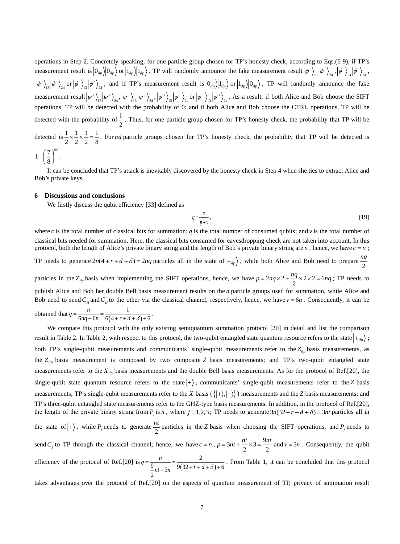operations in Step 2. Concretely speaking, for one particle group chosen for TP's honesty check, according to Eqs.(6-9), if TP's measurement result is  $\ket{0_{dp}}\ket{0_{dp}}$  or  $\ket{1_{dp}}$ , TP will randomly announce the fake measurement result  $\ket{\phi^*}_{13}\ket{\phi^*}_{24}$ ,  $\ket{\phi^-}_{13}\ket{\phi^-}_{24}$ ,  $\left\langle \phi^* \right\rangle_{13} \left| \phi^- \right\rangle_{24}$  or  $\left| \phi^- \right\rangle_{13} \left| \phi^+ \right\rangle_{24}$ ; and if TP's measurement result is  $\left| 0_{dp} \right\rangle \left| 1_{dp} \right\rangle$  or  $\left| 1_{dp} \right\rangle \left| 0_{dp} \right\rangle$ , TP will randomly announce the fake measurement result  $|\psi^{+}\rangle_{_{13}}|\psi^{+}\rangle_{_{24}}, |\psi^{-}\rangle_{_{13}}|\psi^{-}\rangle_{_{24}}, |\psi^{+}\rangle_{_{13}}|\psi^{-}\rangle_{_{24}}$  or  $|\psi^{-}\rangle_{_{13}}|\psi^{+}\rangle_{_{24}}$ . As a result, if both Alice and Bob choose the SIFT operations, TP will be detected with the probability of 0; and if both Alice and Bob choose the CTRL operations, TP will be detected with the probability of  $\frac{1}{2}$  $\frac{1}{2}$ . Thus, for one particle group chosen for TP's honesty check, the probability that TP will be detected is  $\frac{1}{2} \times \frac{1}{2} \times \frac{1}{2} = \frac{1}{8}$ 1 2 1 2 1 2  $\frac{1}{2} \times \frac{1}{2} = \frac{1}{6}$ . For *nd* particle groups chosen for TP's honesty check, the probability that TP will be detected is *nd* I J  $\left(\frac{7}{1}\right)$ l  $-\left(\frac{7}{8}\right)$  $1 - \left(\frac{7}{6}\right)$ .

It can be concluded that TP's attack is inevitably discovered by the honesty check in Step 4 when she ties to extract Alice and Bob's private keys.

## **6 Discussions and conclusions**

We firstly discuss the qubit efficiency [33] defined as

$$
\eta = \frac{c}{p+v},\tag{19}
$$

where c is the total number of classical bits for summation;  $q$  is the total number of consumed qubits; and  $v$  is the total number of classical bits needed for summation. Here, the classical bits consumed for eavesdropping check are not taken into account. In this protocol, both the length of Alice's private binary string and the length of Bob's private binary string are *<sup>n</sup>* , hence, we have *c* <sup>=</sup> *n* ;

TP needs to generate  $2n(4+r+d+\delta) = 2nq$  particles all in the state of  $\ket{+_{dp}}$ , while both Alice and Bob need to prepare  $\frac{\pi}{2}$ *nq*

particles in the  $Z_{dp}$  basis when implementing the SIFT operations, hence, we have  $p = 2nq \times 2 + \frac{nq}{2} \times 2 \times 2 = 6nq$ ; TP needs to publish Alice and Bob her double Bell basis measurement results on the *n* particle groups used for summation, while Alice and

Bob need to send  $C_A$  and  $C_B$  to the other via the classical channel, respectively, hence, we have  $v = 6n$ . Consequently, it can be

obtained that  $\eta = \frac{n}{6nq + 6n} = \frac{1}{6(4+r+d+\delta)}$ 1 6*na* + 6*n* 6(4 + *r* + *d* + *δ*) + 6 *n*  $\eta = \frac{n}{6nq + 6n} = \frac{1}{6(4+r+d+\delta)+6}$ .

We compare this protocol with the only existing semiquantum summation protocol [20] in detail and list the comparison result in Table 2. In Table 2, with respect to this protocol, the two-qubit entangled state quantum resource refers to the state  $|+_{dp}\rangle$ ; both TP's single-qubit measurements and communicants' single-qubit measurements refer to the  $Z_{dp}$  basis measurements, as the  $Z_{dp}$  basis measurement is composed by two composite Z basis measurements; and TP's two-qubit entangled state measurements refer to the *<sup>X</sup>dp* basis measurements and the double Bell basis measurements. As for the protocol of Ref.[20], the single-qubit state quantum resource refers to the state  $|+\rangle$ ; communicants' single-qubit measurements refer to the Z basis measurements; TP's single-qubit measurements refer to the *X* basis ( $\{|\text{+}\rangle,|\text{-}\rangle\}$ ) measurements and the *Z* basis measurements; and TP's three-qubit entangled state measurements refer to the GHZ-type basis measurements. In addition, in the protocol of Ref.[20], the length of the private binary string from  $P_j$  is *n*, where  $j = 1, 2, 3$ ; TP needs to generate  $3n(32 + r + d + \delta) = 3nt$  particles all in the state of  $|+\rangle$ , while  $P_j$  needs to generate  $\frac{\pi i}{2}$  $\frac{nt}{2}$  particles in the *Z* basis when choosing the SIFT operations; and *P<sub>i</sub>* needs to send  $C_j$  to TP through the classical channel; hence, we have  $c = n$ ,  $p = 3nt + \frac{1}{2} \times 3 = \frac{2n}{2}$  $p = 3nt + \frac{nt}{2} \times 3 = \frac{9nt}{2}$  and  $v = 3n$ . Consequently, the qubit efficiency of the protocol of Ref.[20] is  $\eta = \frac{n}{\frac{9}{2} + 3n} = \frac{2}{9(32 + r + d + \delta)}$ 2  $\frac{9}{2}nt+3n \quad 9(32+r+d+\delta)+6$ *n*  $\eta = \frac{9}{9(32+r+d+\delta)+1}$ . From Table 1, it can be concluded that this protocol

takes advantages over the protocol of Ref.[20] on the aspects of quantum measurement of TP, privacy of summation result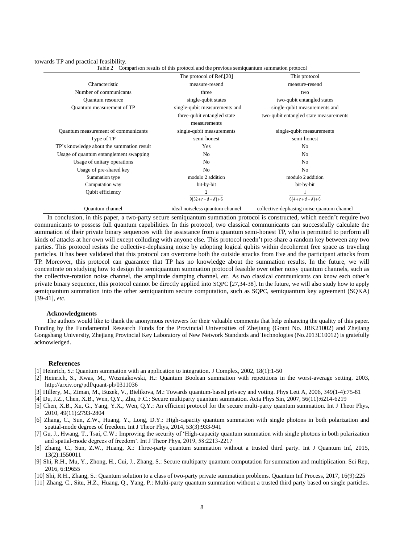towards TP and practical feasibility.

|  |  |  | Table 2 Comparison results of this protocol and the previous semiquantum summation protocol |
|--|--|--|---------------------------------------------------------------------------------------------|

|                                           | The protocol of Ref.[20]                    | This protocol                              |
|-------------------------------------------|---------------------------------------------|--------------------------------------------|
| Characteristic                            | measure-resend                              | measure-resend                             |
| Number of communicants                    | three                                       | two                                        |
| Quantum resource                          | single-qubit states                         | two-qubit entangled states                 |
| Quantum measurement of TP                 | single-qubit measurements and               | single-qubit measurements and              |
|                                           | three-qubit entangled state<br>measurements | two-qubit entangled state measurements     |
| Quantum measurement of communicants       | single-qubit measurements                   | single-qubit measurements                  |
| Type of TP                                | semi-honest                                 | semi-honest                                |
| TP's knowledge about the summation result | Yes                                         | No                                         |
| Usage of quantum entanglement swapping    | No                                          | No                                         |
| Usage of unitary operations               | No                                          | No                                         |
| Usage of pre-shared key                   | No.                                         | N <sub>o</sub>                             |
| Summation type                            | modulo 2 addition                           | modulo 2 addition                          |
| Computation way                           | bit-by-bit                                  | bit-by-bit                                 |
| Qubit efficiency                          | 2<br>$9(32+r+d+\delta)+6$                   | $6(4+r+d+\delta)+6$                        |
| Quantum channel                           | ideal noiseless quantum channel             | collective-dephasing noise quantum channel |

In conclusion, in this paper, a two-party secure semiquantum summation protocol is constructed, which needn't require two communicants to possess full quantum capabilities. In this protocol, two classical communicants can successfully calculate the summation of their private binary sequences with the assistance from a quantum semi-honest TP, who is permitted to perform all kinds of attacks at her own will except colluding with anyone else. This protocol needn't pre-share a random key between any two parties. This protocol resists the collective-dephasing noise by adopting logical qubits within decoherent free space as traveling particles. It has been validated that this protocol can overcome both the outside attacks from Eve and the participant attacks from TP. Moreover, this protocol can guarantee that TP has no knowledge about the summation results. In the future, we will concentrate on studying how to design the semiquantum summation protocol feasible over other noisy quantum channels, such as the collective-rotation noise channel, the amplitude damping channel, *etc*. As two classical communicants can know each other's private binary sequence, this protocol cannot be directly applied into SQPC [27,34-38]. In the future, we will also study how to apply semiquantum summation into the other semiquantum secure computation, such as SQPC, semiquantum key agreement (SQKA) [39-41], *etc*.

# **Acknowledgments**

 The authors would like to thank the anonymous reviewers for their valuable comments that help enhancing the quality of this paper. Funding by the Fundamental Research Funds for the Provincial Universities of Zhejiang (Grant No. JRK21002) and Zhejiang Gongshang University, Zhejiang Provincial Key Laboratory of New Network Standards and Technologies (No.2013E10012) is gratefully acknowledged.

#### **References**

- [1] Heinrich, S.: Quantum summation with an application to integration. J Complex, 2002, 18(1):1-50
- [2] Heinrich, S., Kwas, M., Wozniakowski, H.: Quantum Boolean summation with repetitions in the worst-average setting. 2003, http://arxiv.org/pdf/quant-ph/0311036
- [3] Hillery, M., Ziman, M., Buzek, V., Bielikova, M.: Towards quantum-based privacy and voting. Phys Lett A, 2006, 349(1-4):75-81
- [4] Du, J.Z., Chen, X.B., Wen, Q.Y., Zhu, F.C.: Secure multiparty quantum summation. Acta Phys Sin, 2007, 56(11):6214-6219
- [5] Chen, X.B., Xu, G., Yang, Y.X., Wen, Q.Y.: An efficient protocol for the secure multi-party quantum summation. Int J Theor Phys, 2010, 49(11):2793-2804
- [6] Zhang, C., Sun, Z.W., Huang, Y., Long, D.Y.: High-capacity quantum summation with single photons in both polarization and spatial-mode degrees of freedom. Int J Theor Phys, 2014, 53(3):933-941
- [7] Gu, J., Hwang, T., Tsai, C.W.: Improving the security of 'High-capacity quantum summation with single photons in both polarization and spatial-mode degrees of freedom'. Int J Theor Phys, 2019, 58:2213-2217
- [8] Zhang, C., Sun, Z.W., Huang, X.: Three-party quantum summation without a trusted third party. Int J Quantum Inf, 2015, 13(2):1550011
- [9] Shi, R.H., Mu, Y., Zhong, H., Cui, J., Zhang, S.: Secure multiparty quantum computation for summation and multiplication. Sci Rep, 2016, 6:19655
- [10] Shi, R.H., Zhang, S.: Quantum solution to a class of two-party private summation problems. Quantum Inf Process, 2017, 16(9):225
- [11] Zhang, C., Situ, H.Z., Huang, Q., Yang, P.: Multi-party quantum summation without a trusted third party based on single particles.